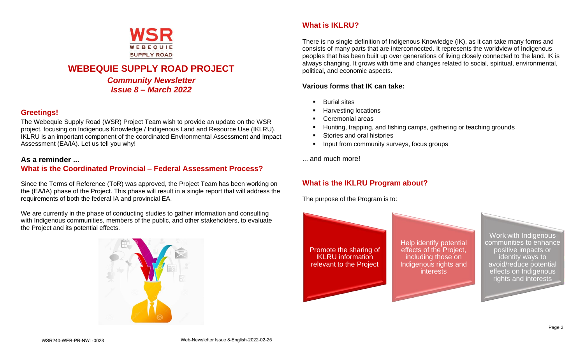

# **WEBEQUIE SUPPLY ROAD PROJECT**

*Community Newsletter Issue 8 – March 2022*

## **Greetings!**

The Webequie Supply Road (WSR) Project Team wish to provide an update on the WSR project, focusing on Indigenous Knowledge / Indigenous Land and Resource Use (IKLRU). IKLRU is an important component of the coordinated Environmental Assessment and Impact Assessment (EA/IA). Let us tell you why!

### **As a reminder ...**

## **What is the Coordinated Provincial – Federal Assessment Process?**

Since the Terms of Reference (ToR) was approved, the Project Team has been working on the (EA/IA) phase of the Project. This phase will result in a single report that will address the requirements of both the federal IA and provincial EA.

We are currently in the phase of conducting studies to gather information and consulting with Indigenous communities, members of the public, and other stakeholders, to evaluate the Project and its potential effects.



## **What is IKLRU?**

There is no single definition of Indigenous Knowledge (IK), as it can take many forms and consists of many parts that are interconnected. It represents the worldview of Indigenous peoples that has been built up over generations of living closely connected to the land. IK is always changing. It grows with time and changes related to social, spiritual, environmental, political, and economic aspects.

#### **Various forms that IK can take:**

- **Burial sites**
- **Harvesting locations**
- Ceremonial areas
- Hunting, trapping, and fishing camps, gathering or teaching grounds
- Stories and oral histories
- **•** Input from community surveys, focus groups
- ... and much more!

# **What is the IKLRU Program about?**

The purpose of the Program is to: